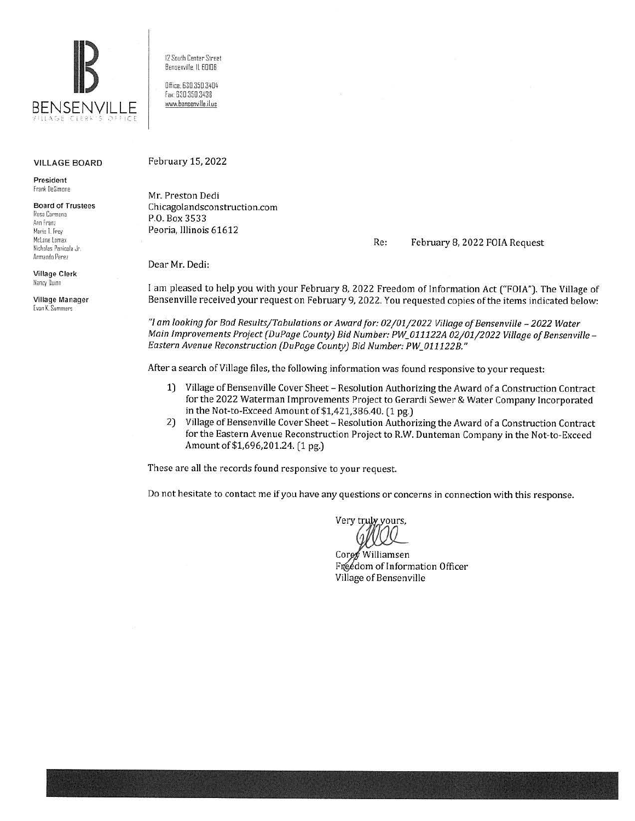

# VILLAGE BOARD

President Franl DeSimane

Board of Trustees Rosa Carmona Ann Franz Marie I.fray McLane Lomax Nicholas Panicola Jr. Armando Perez

Village Clerk Nancy Quinn

Village Manager Evan K. Summers

12 South Center Street Bensenville. IL 60106

Office; 630.350.3404 fax, 630 350.3438 www.bensenville.il.us

#### February 15, 2022

Mr. Preston Dedi Chicagolandsconstruction.com P.O. Box 3533 Peoria, Illinois 61612

Re: February 8, 2022 FOIA Request

Dear Mr. Dedi:

I am pleased to help you with your February 8, 2022 Freedom of Information Act ("FOIA"). The Village of Bensenville received your request on February 9, 2022. You requested copies of the items indicated below:

"I am looking for Bod Results/Tabulations or Award for: 02/01/2022 Village of Bensenville - 2022 Water *Main Improvements Project (DuPage County) Bid Number: PW\_011122A 02/01/2022 Village of Bensenville-Eastern Avenue Reconstruction (DuPage County) Bid Number: PW\_011122B."* 

After a search of Village files, the following information was found responsive to your request:

- 1) Village of Bensenville Cover Sheet Resolution Authorizing the Award of a Construction Contract for the 2022 Waterman Improvements Project to Gerardi Sewer & Water Company Incorporated in the Not-to-Exceed Amount of \$1,421,386.40. (1 pg.)
- 2) Village of Bensenville Cover Sheet- Resolution Authorizing the Award of a Construction Contract for the Eastern Avenue Reconstruction Project to R.W. Dunteman Company in the Not-to-Exceed Amount of\$1,696,201.24. (1 pg.)

These are all the records found responsive to your request

Do not hesitate to contact me if you have any questions or concerns in connection with this response.

Very truly yours.

Corey Williamsen Freedom of Information Officer Village of Bensenville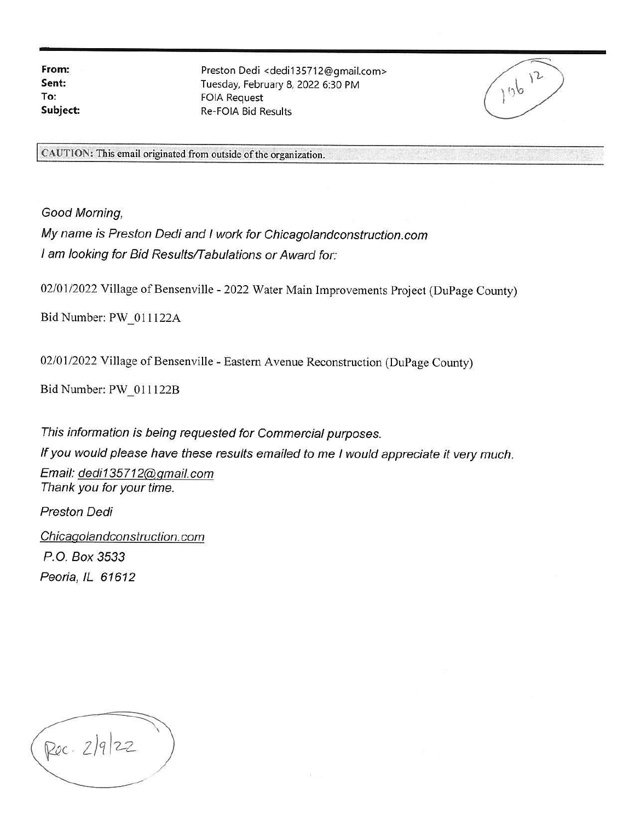**From: Sent: To: Subject:** 

Preston Dedi <dedi135712@gmail.com> Tuesday, February 8, 2022 6:30 PM FOIA Request Re-FOIA Bid Results

 $110^{12}$ 

CAUTION: This email originated from outside of the organization.

Good Morning,

My name is Preston Dedi and I work for Chicagolandconstruction.com I am looking for Bid Results/Tabulations or Award for:

02/01/2022 Village of Bensenville - 2022 Water Main Improvements Project (DuPage County)

Bid Number: PW\_011122A

02/01/2022 Village of Bensenville - Eastern Avenue Reconstruction (DuPage County)

Bid Number: PW 011122B

This information is being requested for Commercial purposes. *If* you would please have these results emailed to me I would appreciate it very much. Email: dedi135712@gmail.com Thank you for your time.

Preston Dedi

Chicaqolandconstruction. com P.O. Box 3533 Peoria, IL 61612

Roc. 2/9/22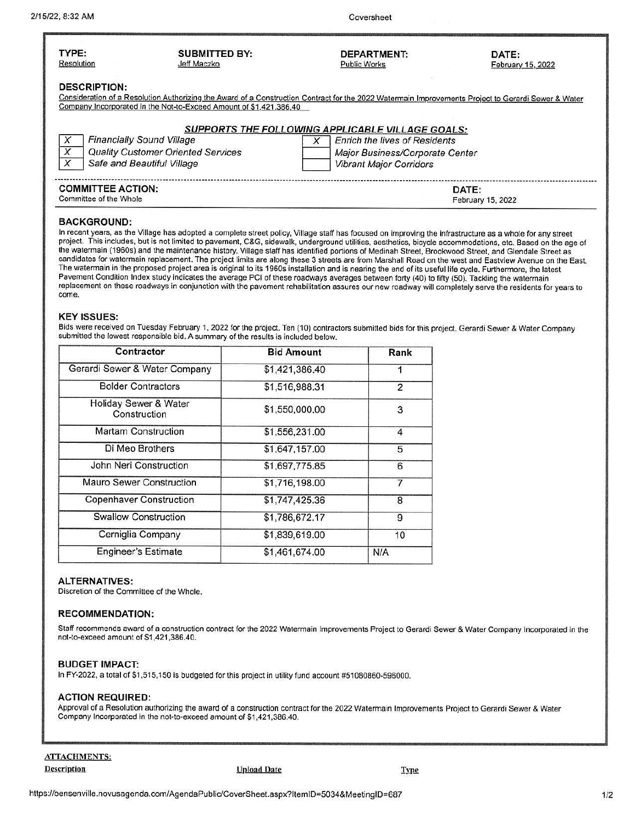February 15, 2022

| TYPE:               | <b>SUBMITTED BY:</b>                                                                                                                                | <b>DEPARTMENT:</b>                                      | DATE:             |
|---------------------|-----------------------------------------------------------------------------------------------------------------------------------------------------|---------------------------------------------------------|-------------------|
| Resolution          | Jeff Maczko                                                                                                                                         | <b>Public Works</b>                                     | February 15, 2022 |
| <b>DESCRIPTION:</b> |                                                                                                                                                     |                                                         |                   |
|                     | Consideration of a Resolution Authorizing the Award of a Construction Contract for the 2022 Watermain Improvements Project to Gerardi Sewer & Water |                                                         |                   |
|                     | Company Incorporated in the Not-to-Exceed Amount of \$1,421,386.40                                                                                  |                                                         |                   |
|                     |                                                                                                                                                     |                                                         |                   |
|                     |                                                                                                                                                     | <b>SUPPORTS THE FOLLOWING APPLICABLE VILLAGE GOALS:</b> |                   |
|                     | <b>Financially Sound Village</b>                                                                                                                    | <b>Enrich the lives of Residents</b>                    |                   |
| X                   | <b>Quality Customer Oriented Services</b>                                                                                                           | Major Business/Corporate Center                         |                   |
| X                   | Safe and Beautiful Village                                                                                                                          | <b>Vibrant Major Corridors</b>                          |                   |

# **COMMITTEE ACTION:** DATE: **DATE: COMMITTEE ACTION: DATE: Committee of the Whole**

# **BACKGROUND:**

In recent years, as the Village has adopted a complete street policy, Village staff has focused on improving the infrastructure as a whole for any street project. This includes, but is not limited to pavement, C&G, sidewalk, underground utilities, aesthetics, bicycle accommodations, etc. Based on the age of the watermain (1960s) and the maintenance history, Village staff has identified portions of Medinah Street, Brookwood Street, and Glendale Street as candidates for watermain replacement. The project limits are along these 3 streets are from Marshall Road on the west and Eastview Avenue on the East. The watermain in the proposed project area is original to its 1960s installation and is nearing the end of its useful life cycle. Furthermore, the latest Pavement Condition Index study indicates the average PCI of these roadways averages between forty (40) to fifty (50). Tackling the watermain replacement on these roadways in conjunction with the pavement rehabilitation assures our new roadway will completely serve the residents for years to come.

# **KEY ISSUES:**

Bids were received on Tuesday February 1, 2022 for the project. Ten (10) contractors submitted bids for this project. Gerardi Sewer & Water Company submitted the lowest responsible bid. A summary of the results is included below.

| Contractor                            | <b>Bid Amount</b> | Rank           |
|---------------------------------------|-------------------|----------------|
| Gerardi Sewer & Water Company         | \$1,421,386.40    |                |
| <b>Bolder Contractors</b>             | \$1,516,988.31    | $\overline{2}$ |
| Holiday Sewer & Water<br>Construction | \$1,550,000.00    | 3              |
| Martam Construction                   | \$1,556,231.00    | 4              |
| Di Meo Brothers                       | \$1,647,157.00    | 5              |
| John Neri Construction                | \$1,697,775.85    | 6              |
| Mauro Sewer Construction              | \$1,716,198.00    |                |
| Copenhaver Construction               | \$1,747,425.36    | 8              |
| <b>Swallow Construction</b>           | \$1,786,672.17    | 9              |
| Cerniglia Company                     | \$1,839,619.00    | 10             |
| <b>Engineer's Estimate</b>            | \$1,461,674.00    | N/A            |

# **ALTERNATIVES:**

Discretion of the Committee of the Whole.

#### **RECOMMENDATION:**

Staff recommends award of a construction contract for the 2022 Watermain Improvements Project to Gerardi Sewer & Water Company Incorporated in the not-to-exceed amount of S1 ,421,386.40.

#### **BUDGET IMPACT:**

In FY-2022, a total of S1 ,515,150 is budgeted for this project in utility fund account #51080860-596000.

#### **ACTION REQUIRED:**

Approval of a Resolution authorizing the award of a construction contract for the 2022 Watermain Improvements Project to Gerardi Sewer & Water Company Incorporated in the not-to-exceed amount of \$1,421,386.40.

ATTACHMENTS; OescrlJ!tion !!J!load Date IY.P£